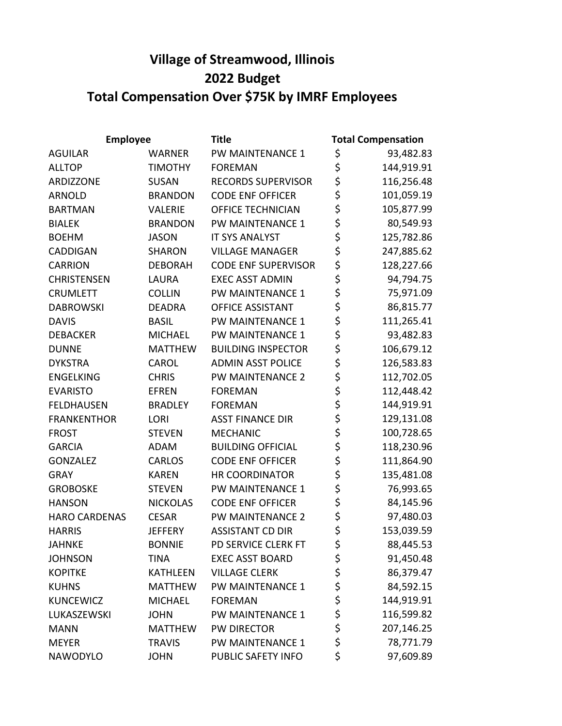## Village of Streamwood, Illinois 2022 Budget Total Compensation Over \$75K by IMRF Employees

| <b>Employee</b>      |                 | <b>Title</b>               | <b>Total Compensation</b> |            |
|----------------------|-----------------|----------------------------|---------------------------|------------|
| <b>AGUILAR</b>       | <b>WARNER</b>   | PW MAINTENANCE 1           | \$                        | 93,482.83  |
| <b>ALLTOP</b>        | <b>TIMOTHY</b>  | <b>FOREMAN</b>             | \$                        | 144,919.91 |
| ARDIZZONE            | <b>SUSAN</b>    | <b>RECORDS SUPERVISOR</b>  | \$                        | 116,256.48 |
| <b>ARNOLD</b>        | <b>BRANDON</b>  | <b>CODE ENF OFFICER</b>    | \$                        | 101,059.19 |
| <b>BARTMAN</b>       | <b>VALERIE</b>  | <b>OFFICE TECHNICIAN</b>   | \$                        | 105,877.99 |
| <b>BIALEK</b>        | <b>BRANDON</b>  | PW MAINTENANCE 1           | \$                        | 80,549.93  |
| <b>BOEHM</b>         | <b>JASON</b>    | <b>IT SYS ANALYST</b>      | \$                        | 125,782.86 |
| <b>CADDIGAN</b>      | <b>SHARON</b>   | <b>VILLAGE MANAGER</b>     | \$                        | 247,885.62 |
| <b>CARRION</b>       | <b>DEBORAH</b>  | <b>CODE ENF SUPERVISOR</b> | \$                        | 128,227.66 |
| <b>CHRISTENSEN</b>   | LAURA           | <b>EXEC ASST ADMIN</b>     | \$                        | 94,794.75  |
| <b>CRUMLETT</b>      | <b>COLLIN</b>   | PW MAINTENANCE 1           | \$                        | 75,971.09  |
| <b>DABROWSKI</b>     | <b>DEADRA</b>   | <b>OFFICE ASSISTANT</b>    | \$                        | 86,815.77  |
| <b>DAVIS</b>         | <b>BASIL</b>    | PW MAINTENANCE 1           | \$                        | 111,265.41 |
| <b>DEBACKER</b>      | <b>MICHAEL</b>  | PW MAINTENANCE 1           | \$                        | 93,482.83  |
| <b>DUNNE</b>         | <b>MATTHEW</b>  | <b>BUILDING INSPECTOR</b>  | \$                        | 106,679.12 |
| <b>DYKSTRA</b>       | <b>CAROL</b>    | <b>ADMIN ASST POLICE</b>   | \$                        | 126,583.83 |
| <b>ENGELKING</b>     | <b>CHRIS</b>    | PW MAINTENANCE 2           | \$                        | 112,702.05 |
| <b>EVARISTO</b>      | <b>EFREN</b>    | <b>FOREMAN</b>             | \$                        | 112,448.42 |
| <b>FELDHAUSEN</b>    | <b>BRADLEY</b>  | <b>FOREMAN</b>             | \$                        | 144,919.91 |
| <b>FRANKENTHOR</b>   | LORI            | <b>ASST FINANCE DIR</b>    | \$<br>\$                  | 129,131.08 |
| <b>FROST</b>         | <b>STEVEN</b>   | <b>MECHANIC</b>            |                           | 100,728.65 |
| <b>GARCIA</b>        | <b>ADAM</b>     | <b>BUILDING OFFICIAL</b>   | \$                        | 118,230.96 |
| <b>GONZALEZ</b>      | <b>CARLOS</b>   | <b>CODE ENF OFFICER</b>    | \$                        | 111,864.90 |
| <b>GRAY</b>          | <b>KAREN</b>    | <b>HR COORDINATOR</b>      | \$                        | 135,481.08 |
| <b>GROBOSKE</b>      | <b>STEVEN</b>   | PW MAINTENANCE 1           | \$                        | 76,993.65  |
| <b>HANSON</b>        | <b>NICKOLAS</b> | <b>CODE ENF OFFICER</b>    | \$                        | 84,145.96  |
| <b>HARO CARDENAS</b> | <b>CESAR</b>    | <b>PW MAINTENANCE 2</b>    | \$                        | 97,480.03  |
| <b>HARRIS</b>        | <b>JEFFERY</b>  | <b>ASSISTANT CD DIR</b>    | \$                        | 153,039.59 |
| <b>JAHNKE</b>        | <b>BONNIE</b>   | PD SERVICE CLERK FT        | \$                        | 88,445.53  |
| <b>JOHNSON</b>       | <b>TINA</b>     | <b>EXEC ASST BOARD</b>     | \$                        | 91,450.48  |
| <b>KOPITKE</b>       | <b>KATHLEEN</b> | <b>VILLAGE CLERK</b>       | \$                        | 86,379.47  |
| <b>KUHNS</b>         | <b>MATTHEW</b>  | PW MAINTENANCE 1           | \$                        | 84,592.15  |
| <b>KUNCEWICZ</b>     | <b>MICHAEL</b>  | <b>FOREMAN</b>             |                           | 144,919.91 |
| LUKASZEWSKI          | <b>JOHN</b>     | PW MAINTENANCE 1           | \$<br>\$                  | 116,599.82 |
| <b>MANN</b>          | <b>MATTHEW</b>  | PW DIRECTOR                | \$                        | 207,146.25 |
| <b>MEYER</b>         | <b>TRAVIS</b>   | PW MAINTENANCE 1           | \$                        | 78,771.79  |
| NAWODYLO             | <b>JOHN</b>     | PUBLIC SAFETY INFO         | \$                        | 97,609.89  |